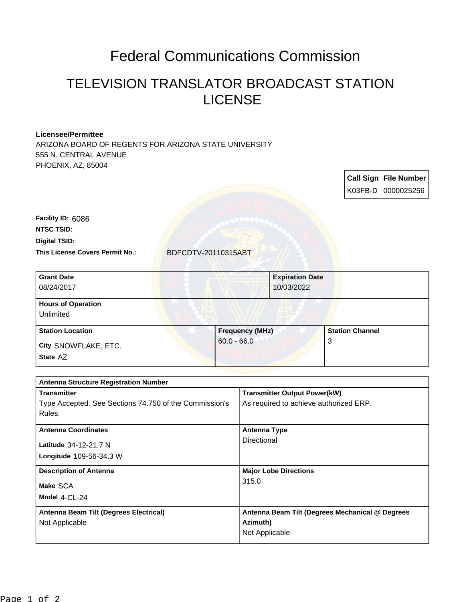## Federal Communications Commission

## TELEVISION TRANSLATOR BROADCAST STATION LICENSE

## **Licensee/Permittee**

ARIZONA BOARD OF REGENTS FOR ARIZONA STATE UNIVERSITY 555 N. CENTRAL AVENUE PHOENIX, AZ, 85004

|                                        |                     |                        | <b>Call Sign File Number</b> |
|----------------------------------------|---------------------|------------------------|------------------------------|
|                                        |                     |                        | K03FB-D 0000025256           |
| Facility ID: 6086                      |                     |                        |                              |
| <b>NTSC TSID:</b>                      |                     |                        |                              |
| <b>Digital TSID:</b>                   |                     |                        |                              |
| <b>This License Covers Permit No.:</b> | BDFCDTV-20110315ABT |                        |                              |
| <b>Grant Date</b>                      |                     | <b>Expiration Date</b> |                              |
| 08/24/2017                             |                     | 10/03/2022             |                              |
| <b>Hours of Operation</b>              |                     |                        |                              |
| Unlimited                              |                     |                        |                              |

| <b>Station Location</b>          | <b>Frequency (MHz)</b> | <b>Station Channel</b> |
|----------------------------------|------------------------|------------------------|
| City SNOWFLAKE, ETC.<br>State AZ | $60.0 - 66.0$          | J                      |

| <b>Antenna Structure Registration Number</b>           |                                                 |  |  |  |
|--------------------------------------------------------|-------------------------------------------------|--|--|--|
| <b>Transmitter</b>                                     | <b>Transmitter Output Power(kW)</b>             |  |  |  |
| Type Accepted. See Sections 74.750 of the Commission's | As required to achieve authorized ERP.          |  |  |  |
| Rules.                                                 |                                                 |  |  |  |
| <b>Antenna Coordinates</b>                             |                                                 |  |  |  |
|                                                        | <b>Antenna Type</b>                             |  |  |  |
| Latitude 34-12-21.7 N                                  | Directional                                     |  |  |  |
| <b>Longitude 109-56-34.3 W</b>                         |                                                 |  |  |  |
| <b>Description of Antenna</b>                          | <b>Major Lobe Directions</b>                    |  |  |  |
| Make SCA                                               | 315.0                                           |  |  |  |
| Model $4$ -CL-24                                       |                                                 |  |  |  |
|                                                        |                                                 |  |  |  |
| Antenna Beam Tilt (Degrees Electrical)                 | Antenna Beam Tilt (Degrees Mechanical @ Degrees |  |  |  |
| Not Applicable                                         | Azimuth)                                        |  |  |  |
|                                                        | Not Applicable                                  |  |  |  |